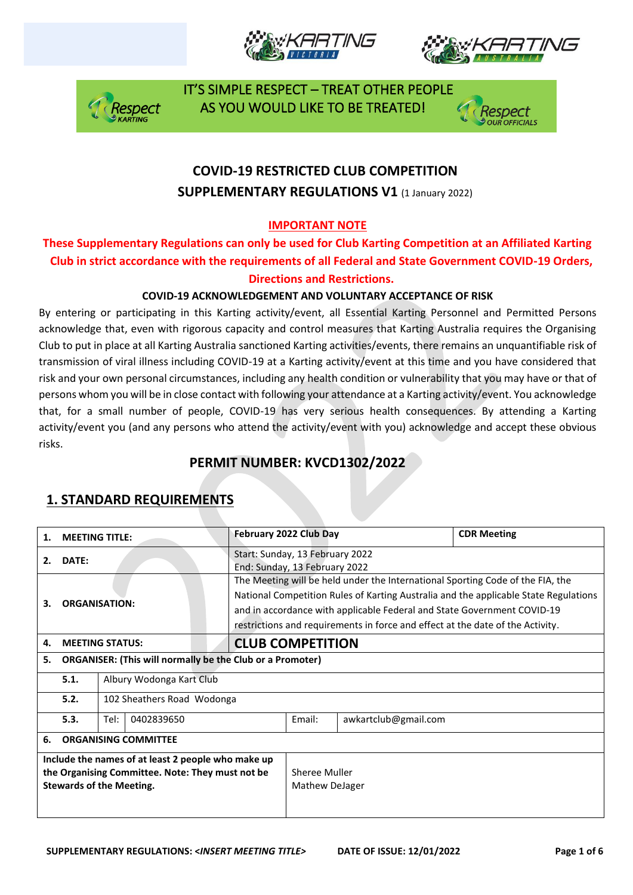







## **COVID-19 RESTRICTED CLUB COMPETITION SUPPLEMENTARY REGULATIONS V1 (1 January 2022)**

#### **IMPORTANT NOTE**

### **These Supplementary Regulations can only be used for Club Karting Competition at an Affiliated Karting Club in strict accordance with the requirements of all Federal and State Government COVID-19 Orders, Directions and Restrictions.**

#### **COVID-19 ACKNOWLEDGEMENT AND VOLUNTARY ACCEPTANCE OF RISK**

By entering or participating in this Karting activity/event, all Essential Karting Personnel and Permitted Persons acknowledge that, even with rigorous capacity and control measures that Karting Australia requires the Organising Club to put in place at all Karting Australia sanctioned Karting activities/events, there remains an unquantifiable risk of transmission of viral illness including COVID-19 at a Karting activity/event at this time and you have considered that risk and your own personal circumstances, including any health condition or vulnerability that you may have or that of persons whom you will be in close contact with following your attendance at a Karting activity/event. You acknowledge that, for a small number of people, COVID-19 has very serious health consequences. By attending a Karting activity/event you (and any persons who attend the activity/event with you) acknowledge and accept these obvious risks.

### **PERMIT NUMBER: KVCD1302/2022**

| 1.                                                                                                                                        | <b>MEETING TITLE:</b>              |                                                                                                                                                                                                                                                                                                                                     | February 2022 Club Day                                           |  |                      | <b>CDR Meeting</b> |  |
|-------------------------------------------------------------------------------------------------------------------------------------------|------------------------------------|-------------------------------------------------------------------------------------------------------------------------------------------------------------------------------------------------------------------------------------------------------------------------------------------------------------------------------------|------------------------------------------------------------------|--|----------------------|--------------------|--|
| 2.                                                                                                                                        | DATE:                              |                                                                                                                                                                                                                                                                                                                                     | Start: Sunday, 13 February 2022<br>End: Sunday, 13 February 2022 |  |                      |                    |  |
| <b>ORGANISATION:</b><br>З.                                                                                                                |                                    | The Meeting will be held under the International Sporting Code of the FIA, the<br>National Competition Rules of Karting Australia and the applicable State Regulations<br>and in accordance with applicable Federal and State Government COVID-19<br>restrictions and requirements in force and effect at the date of the Activity. |                                                                  |  |                      |                    |  |
| 4.                                                                                                                                        |                                    | <b>MEETING STATUS:</b>                                                                                                                                                                                                                                                                                                              | <b>CLUB COMPETITION</b>                                          |  |                      |                    |  |
| <b>ORGANISER: (This will normally be the Club or a Promoter)</b><br>5.                                                                    |                                    |                                                                                                                                                                                                                                                                                                                                     |                                                                  |  |                      |                    |  |
|                                                                                                                                           | 5.1.<br>Albury Wodonga Kart Club   |                                                                                                                                                                                                                                                                                                                                     |                                                                  |  |                      |                    |  |
|                                                                                                                                           | 5.2.<br>102 Sheathers Road Wodonga |                                                                                                                                                                                                                                                                                                                                     |                                                                  |  |                      |                    |  |
|                                                                                                                                           | 5.3.                               | Tel:<br>0402839650                                                                                                                                                                                                                                                                                                                  |                                                                  |  | awkartclub@gmail.com |                    |  |
| 6.                                                                                                                                        | <b>ORGANISING COMMITTEE</b>        |                                                                                                                                                                                                                                                                                                                                     |                                                                  |  |                      |                    |  |
| Include the names of at least 2 people who make up<br>the Organising Committee. Note: They must not be<br><b>Stewards of the Meeting.</b> |                                    |                                                                                                                                                                                                                                                                                                                                     | Sheree Muller<br>Mathew DeJager                                  |  |                      |                    |  |

### **1. STANDARD REQUIREMENTS**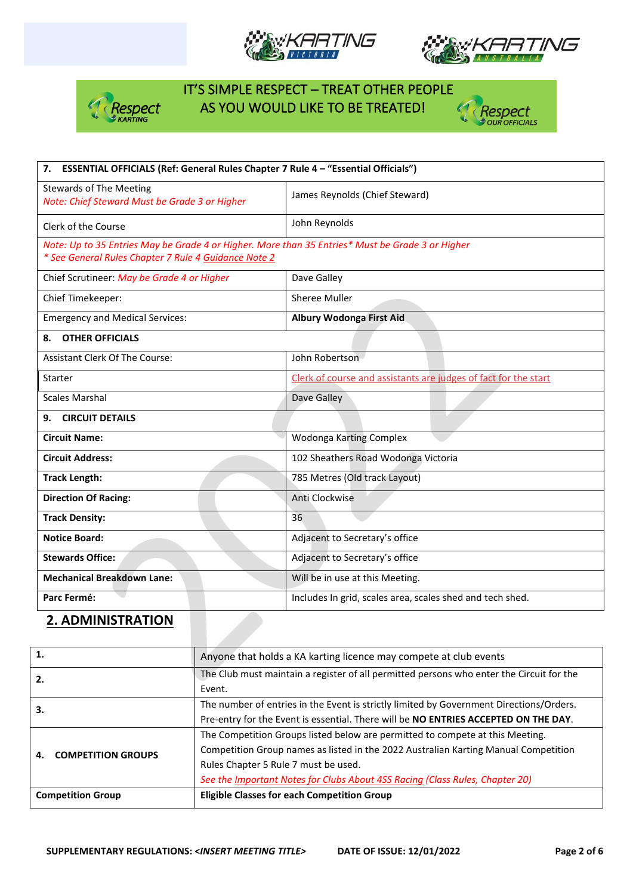







| ESSENTIAL OFFICIALS (Ref: General Rules Chapter 7 Rule 4 - "Essential Officials")<br>7.                                                                  |                                                                 |  |  |  |
|----------------------------------------------------------------------------------------------------------------------------------------------------------|-----------------------------------------------------------------|--|--|--|
| <b>Stewards of The Meeting</b><br>Note: Chief Steward Must be Grade 3 or Higher                                                                          | James Reynolds (Chief Steward)                                  |  |  |  |
| Clerk of the Course                                                                                                                                      | John Reynolds                                                   |  |  |  |
| Note: Up to 35 Entries May be Grade 4 or Higher. More than 35 Entries* Must be Grade 3 or Higher<br>* See General Rules Chapter 7 Rule 4 Guidance Note 2 |                                                                 |  |  |  |
| Chief Scrutineer: May be Grade 4 or Higher                                                                                                               | Dave Galley                                                     |  |  |  |
| Chief Timekeeper:                                                                                                                                        | Sheree Muller                                                   |  |  |  |
| <b>Emergency and Medical Services:</b>                                                                                                                   | <b>Albury Wodonga First Aid</b>                                 |  |  |  |
| <b>OTHER OFFICIALS</b><br>8.                                                                                                                             |                                                                 |  |  |  |
| <b>Assistant Clerk Of The Course:</b>                                                                                                                    | John Robertson                                                  |  |  |  |
| Starter                                                                                                                                                  | Clerk of course and assistants are judges of fact for the start |  |  |  |
| <b>Scales Marshal</b>                                                                                                                                    | Dave Galley                                                     |  |  |  |
| <b>CIRCUIT DETAILS</b><br>9.                                                                                                                             |                                                                 |  |  |  |
| <b>Circuit Name:</b>                                                                                                                                     | Wodonga Karting Complex                                         |  |  |  |
| <b>Circuit Address:</b>                                                                                                                                  | 102 Sheathers Road Wodonga Victoria                             |  |  |  |
| <b>Track Length:</b>                                                                                                                                     | 785 Metres (Old track Layout)                                   |  |  |  |
| <b>Direction Of Racing:</b>                                                                                                                              | Anti Clockwise                                                  |  |  |  |
| <b>Track Density:</b>                                                                                                                                    | 36                                                              |  |  |  |
| <b>Notice Board:</b>                                                                                                                                     | Adjacent to Secretary's office                                  |  |  |  |
| <b>Stewards Office:</b>                                                                                                                                  | Adjacent to Secretary's office                                  |  |  |  |
| <b>Mechanical Breakdown Lane:</b>                                                                                                                        | Will be in use at this Meeting.                                 |  |  |  |
| Parc Fermé:                                                                                                                                              | Includes In grid, scales area, scales shed and tech shed.       |  |  |  |

#### **2. ADMINISTRATION**

| 1.<br>Anyone that holds a KA karting licence may compete at club events |                                                                                                    |  |
|-------------------------------------------------------------------------|----------------------------------------------------------------------------------------------------|--|
| 2.                                                                      | The Club must maintain a register of all permitted persons who enter the Circuit for the<br>Event. |  |
|                                                                         | The number of entries in the Event is strictly limited by Government Directions/Orders.            |  |
| З.                                                                      | Pre-entry for the Event is essential. There will be NO ENTRIES ACCEPTED ON THE DAY.                |  |
|                                                                         | The Competition Groups listed below are permitted to compete at this Meeting.                      |  |
| <b>COMPETITION GROUPS</b><br>4.                                         | Competition Group names as listed in the 2022 Australian Karting Manual Competition                |  |
|                                                                         | Rules Chapter 5 Rule 7 must be used.                                                               |  |
|                                                                         | See the Important Notes for Clubs About 4SS Racing (Class Rules, Chapter 20)                       |  |
| <b>Competition Group</b>                                                | <b>Eligible Classes for each Competition Group</b>                                                 |  |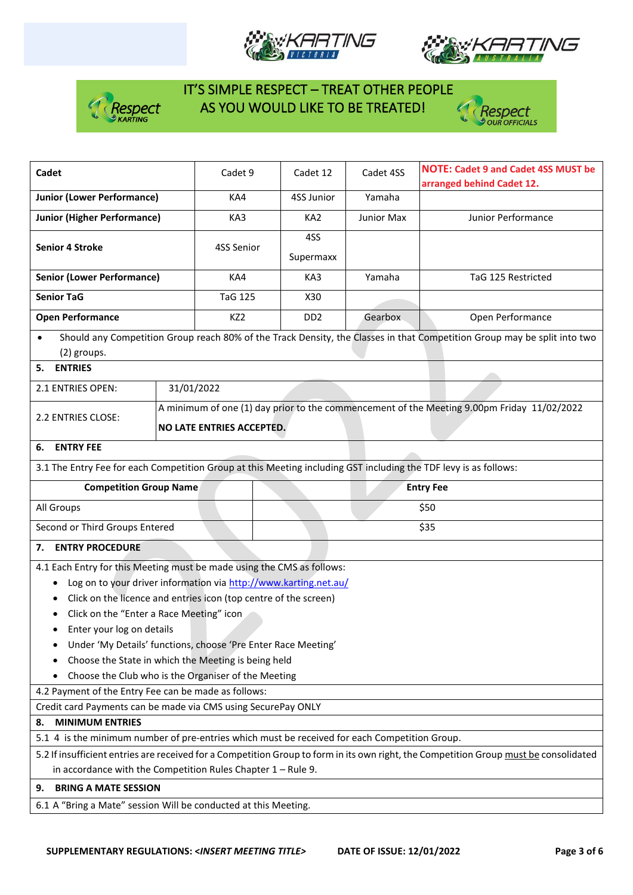







| Cadet                                                                                                                                                                                                   |            | Cadet 9         |                           | Cadet 12        | Cadet 4SS          | <b>NOTE: Cadet 9 and Cadet 4SS MUST be</b><br>arranged behind Cadet 12.                                                  |  |
|---------------------------------------------------------------------------------------------------------------------------------------------------------------------------------------------------------|------------|-----------------|---------------------------|-----------------|--------------------|--------------------------------------------------------------------------------------------------------------------------|--|
| <b>Junior (Lower Performance)</b>                                                                                                                                                                       | KA4        |                 | 4SS Junior                | Yamaha          |                    |                                                                                                                          |  |
| <b>Junior (Higher Performance)</b>                                                                                                                                                                      | KA3        |                 | KA <sub>2</sub>           | Junior Max      | Junior Performance |                                                                                                                          |  |
| <b>Senior 4 Stroke</b>                                                                                                                                                                                  |            |                 |                           | 4SS             |                    |                                                                                                                          |  |
|                                                                                                                                                                                                         |            | 4SS Senior      | Supermaxx                 |                 |                    |                                                                                                                          |  |
| <b>Senior (Lower Performance)</b>                                                                                                                                                                       |            | KA4             |                           | KA3             | Yamaha             | TaG 125 Restricted                                                                                                       |  |
| <b>Senior TaG</b>                                                                                                                                                                                       |            | <b>TaG 125</b>  |                           | X30             |                    |                                                                                                                          |  |
| <b>Open Performance</b>                                                                                                                                                                                 |            | KZ <sub>2</sub> |                           | DD <sub>2</sub> | Gearbox            | Open Performance                                                                                                         |  |
| $\bullet$                                                                                                                                                                                               |            |                 |                           |                 |                    | Should any Competition Group reach 80% of the Track Density, the Classes in that Competition Group may be split into two |  |
| (2) groups.                                                                                                                                                                                             |            |                 |                           |                 |                    |                                                                                                                          |  |
| <b>ENTRIES</b><br>5.                                                                                                                                                                                    |            |                 |                           |                 |                    |                                                                                                                          |  |
| 2.1 ENTRIES OPEN:                                                                                                                                                                                       | 31/01/2022 |                 |                           |                 |                    |                                                                                                                          |  |
| 2.2 ENTRIES CLOSE:                                                                                                                                                                                      |            |                 |                           |                 |                    | A minimum of one (1) day prior to the commencement of the Meeting 9.00pm Friday 11/02/2022                               |  |
|                                                                                                                                                                                                         |            |                 | NO LATE ENTRIES ACCEPTED. |                 |                    |                                                                                                                          |  |
| <b>ENTRY FEE</b><br>6.                                                                                                                                                                                  |            |                 |                           |                 |                    |                                                                                                                          |  |
| 3.1 The Entry Fee for each Competition Group at this Meeting including GST including the TDF levy is as follows:                                                                                        |            |                 |                           |                 |                    |                                                                                                                          |  |
| <b>Competition Group Name</b>                                                                                                                                                                           |            |                 |                           |                 |                    | <b>Entry Fee</b>                                                                                                         |  |
| All Groups                                                                                                                                                                                              |            |                 |                           |                 |                    | \$50                                                                                                                     |  |
| Second or Third Groups Entered                                                                                                                                                                          |            |                 |                           |                 |                    | \$35                                                                                                                     |  |
| <b>ENTRY PROCEDURE</b><br>7.                                                                                                                                                                            |            |                 |                           |                 |                    |                                                                                                                          |  |
| 4.1 Each Entry for this Meeting must be made using the CMS as follows:                                                                                                                                  |            |                 |                           |                 |                    |                                                                                                                          |  |
| Log on to your driver information via http://www.karting.net.au/                                                                                                                                        |            |                 |                           |                 |                    |                                                                                                                          |  |
| Click on the licence and entries icon (top centre of the screen)<br>٠                                                                                                                                   |            |                 |                           |                 |                    |                                                                                                                          |  |
| Click on the "Enter a Race Meeting" icon                                                                                                                                                                |            |                 |                           |                 |                    |                                                                                                                          |  |
| Enter your log on details<br>٠                                                                                                                                                                          |            |                 |                           |                 |                    |                                                                                                                          |  |
| Under 'My Details' functions, choose 'Pre Enter Race Meeting'                                                                                                                                           |            |                 |                           |                 |                    |                                                                                                                          |  |
| Choose the State in which the Meeting is being held                                                                                                                                                     |            |                 |                           |                 |                    |                                                                                                                          |  |
| Choose the Club who is the Organiser of the Meeting                                                                                                                                                     |            |                 |                           |                 |                    |                                                                                                                          |  |
| 4.2 Payment of the Entry Fee can be made as follows:                                                                                                                                                    |            |                 |                           |                 |                    |                                                                                                                          |  |
| Credit card Payments can be made via CMS using SecurePay ONLY                                                                                                                                           |            |                 |                           |                 |                    |                                                                                                                          |  |
| <b>MINIMUM ENTRIES</b><br>8.                                                                                                                                                                            |            |                 |                           |                 |                    |                                                                                                                          |  |
| 5.1 4 is the minimum number of pre-entries which must be received for each Competition Group.                                                                                                           |            |                 |                           |                 |                    |                                                                                                                          |  |
| 5.2 If insufficient entries are received for a Competition Group to form in its own right, the Competition Group must be consolidated<br>in accordance with the Competition Rules Chapter $1 -$ Rule 9. |            |                 |                           |                 |                    |                                                                                                                          |  |
|                                                                                                                                                                                                         |            |                 |                           |                 |                    |                                                                                                                          |  |
| <b>BRING A MATE SESSION</b><br>9.                                                                                                                                                                       |            |                 |                           |                 |                    |                                                                                                                          |  |
| 6.1 A "Bring a Mate" session Will be conducted at this Meeting.                                                                                                                                         |            |                 |                           |                 |                    |                                                                                                                          |  |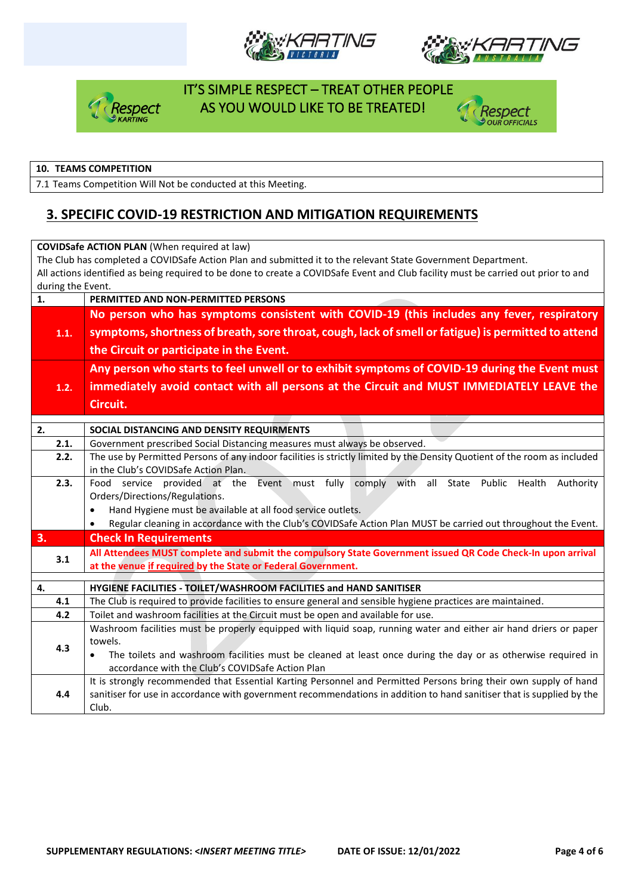







#### **10. TEAMS COMPETITION**

7.1 Teams Competition Will Not be conducted at this Meeting.

### **3. SPECIFIC COVID-19 RESTRICTION AND MITIGATION REQUIREMENTS**

| <b>COVIDSafe ACTION PLAN (When required at law)</b>                                                                                |                                                                                                                             |  |  |  |  |  |  |  |
|------------------------------------------------------------------------------------------------------------------------------------|-----------------------------------------------------------------------------------------------------------------------------|--|--|--|--|--|--|--|
| The Club has completed a COVIDSafe Action Plan and submitted it to the relevant State Government Department.                       |                                                                                                                             |  |  |  |  |  |  |  |
| All actions identified as being required to be done to create a COVIDSafe Event and Club facility must be carried out prior to and |                                                                                                                             |  |  |  |  |  |  |  |
|                                                                                                                                    | during the Event.                                                                                                           |  |  |  |  |  |  |  |
| 1.                                                                                                                                 | PERMITTED AND NON-PERMITTED PERSONS                                                                                         |  |  |  |  |  |  |  |
|                                                                                                                                    | No person who has symptoms consistent with COVID-19 (this includes any fever, respiratory                                   |  |  |  |  |  |  |  |
| 1.1.                                                                                                                               | symptoms, shortness of breath, sore throat, cough, lack of smell or fatigue) is permitted to attend                         |  |  |  |  |  |  |  |
|                                                                                                                                    | the Circuit or participate in the Event.                                                                                    |  |  |  |  |  |  |  |
|                                                                                                                                    | Any person who starts to feel unwell or to exhibit symptoms of COVID-19 during the Event must                               |  |  |  |  |  |  |  |
| 1.2.                                                                                                                               | immediately avoid contact with all persons at the Circuit and MUST IMMEDIATELY LEAVE the                                    |  |  |  |  |  |  |  |
|                                                                                                                                    | Circuit.                                                                                                                    |  |  |  |  |  |  |  |
|                                                                                                                                    |                                                                                                                             |  |  |  |  |  |  |  |
| 2.                                                                                                                                 | SOCIAL DISTANCING AND DENSITY REQUIRMENTS                                                                                   |  |  |  |  |  |  |  |
| 2.1.                                                                                                                               | Government prescribed Social Distancing measures must always be observed.                                                   |  |  |  |  |  |  |  |
| 2.2.                                                                                                                               | The use by Permitted Persons of any indoor facilities is strictly limited by the Density Quotient of the room as included   |  |  |  |  |  |  |  |
|                                                                                                                                    | in the Club's COVIDSafe Action Plan.                                                                                        |  |  |  |  |  |  |  |
| 2.3.                                                                                                                               | Food service provided at the Event must fully comply with all State Public Health<br>Authority                              |  |  |  |  |  |  |  |
|                                                                                                                                    | Orders/Directions/Regulations.                                                                                              |  |  |  |  |  |  |  |
|                                                                                                                                    | Hand Hygiene must be available at all food service outlets.<br>$\bullet$                                                    |  |  |  |  |  |  |  |
|                                                                                                                                    | Regular cleaning in accordance with the Club's COVIDSafe Action Plan MUST be carried out throughout the Event.<br>$\bullet$ |  |  |  |  |  |  |  |
| 3.                                                                                                                                 | <b>Check In Requirements</b>                                                                                                |  |  |  |  |  |  |  |
| 3.1                                                                                                                                | All Attendees MUST complete and submit the compulsory State Government issued QR Code Check-In upon arrival                 |  |  |  |  |  |  |  |
|                                                                                                                                    | at the venue if required by the State or Federal Government.                                                                |  |  |  |  |  |  |  |
| 4.                                                                                                                                 | HYGIENE FACILITIES - TOILET/WASHROOM FACILITIES and HAND SANITISER                                                          |  |  |  |  |  |  |  |
| 4.1                                                                                                                                | The Club is required to provide facilities to ensure general and sensible hygiene practices are maintained.                 |  |  |  |  |  |  |  |
| 4.2                                                                                                                                | Toilet and washroom facilities at the Circuit must be open and available for use.                                           |  |  |  |  |  |  |  |
|                                                                                                                                    | Washroom facilities must be properly equipped with liquid soap, running water and either air hand driers or paper           |  |  |  |  |  |  |  |
|                                                                                                                                    | towels.                                                                                                                     |  |  |  |  |  |  |  |
| 4.3                                                                                                                                | The toilets and washroom facilities must be cleaned at least once during the day or as otherwise required in<br>$\bullet$   |  |  |  |  |  |  |  |
|                                                                                                                                    | accordance with the Club's COVIDSafe Action Plan                                                                            |  |  |  |  |  |  |  |
|                                                                                                                                    | It is strongly recommended that Essential Karting Personnel and Permitted Persons bring their own supply of hand            |  |  |  |  |  |  |  |
| 4.4                                                                                                                                | sanitiser for use in accordance with government recommendations in addition to hand sanitiser that is supplied by the       |  |  |  |  |  |  |  |
|                                                                                                                                    | Club.                                                                                                                       |  |  |  |  |  |  |  |
|                                                                                                                                    |                                                                                                                             |  |  |  |  |  |  |  |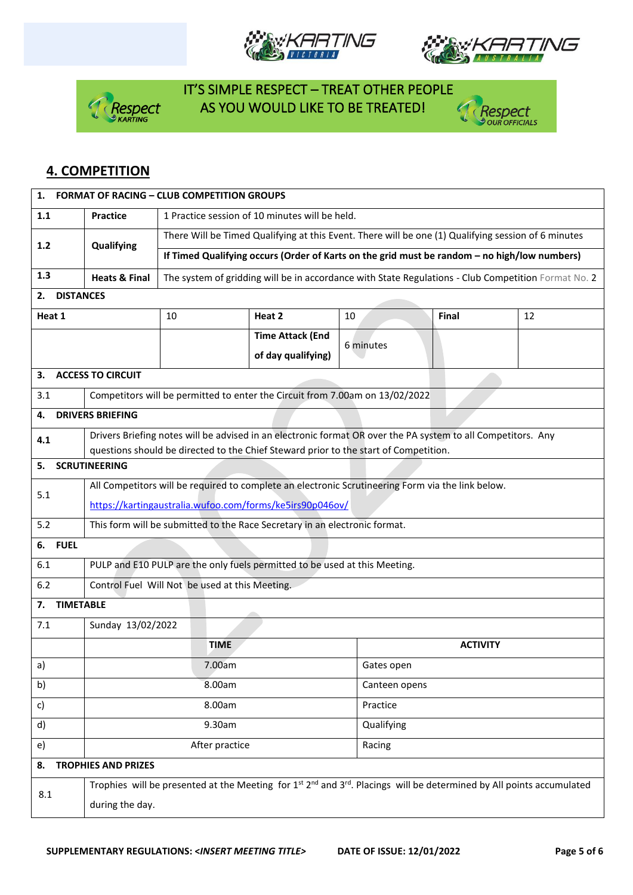







### **4. COMPETITION**

| 1.                     | <b>FORMAT OF RACING - CLUB COMPETITION GROUPS</b>                                                                                                         |                                                                                                     |                                                                                                              |            |                 |    |  |  |  |  |
|------------------------|-----------------------------------------------------------------------------------------------------------------------------------------------------------|-----------------------------------------------------------------------------------------------------|--------------------------------------------------------------------------------------------------------------|------------|-----------------|----|--|--|--|--|
| 1.1                    | 1 Practice session of 10 minutes will be held.<br><b>Practice</b>                                                                                         |                                                                                                     |                                                                                                              |            |                 |    |  |  |  |  |
| $1.2$                  | Qualifying                                                                                                                                                | There Will be Timed Qualifying at this Event. There will be one (1) Qualifying session of 6 minutes |                                                                                                              |            |                 |    |  |  |  |  |
|                        |                                                                                                                                                           | If Timed Qualifying occurs (Order of Karts on the grid must be random - no high/low numbers)        |                                                                                                              |            |                 |    |  |  |  |  |
| 1.3                    | <b>Heats &amp; Final</b>                                                                                                                                  | The system of gridding will be in accordance with State Regulations - Club Competition Format No. 2 |                                                                                                              |            |                 |    |  |  |  |  |
| <b>DISTANCES</b><br>2. |                                                                                                                                                           |                                                                                                     |                                                                                                              |            |                 |    |  |  |  |  |
| Heat 1                 |                                                                                                                                                           | 10                                                                                                  | Heat 2                                                                                                       | 10         | Final           | 12 |  |  |  |  |
|                        |                                                                                                                                                           |                                                                                                     | <b>Time Attack (End</b>                                                                                      | 6 minutes  |                 |    |  |  |  |  |
|                        |                                                                                                                                                           |                                                                                                     | of day qualifying)                                                                                           |            |                 |    |  |  |  |  |
| 3.                     | <b>ACCESS TO CIRCUIT</b>                                                                                                                                  |                                                                                                     |                                                                                                              |            |                 |    |  |  |  |  |
| 3.1                    |                                                                                                                                                           |                                                                                                     | Competitors will be permitted to enter the Circuit from 7.00am on 13/02/2022                                 |            |                 |    |  |  |  |  |
| 4.                     | <b>DRIVERS BRIEFING</b>                                                                                                                                   |                                                                                                     |                                                                                                              |            |                 |    |  |  |  |  |
| 4.1                    |                                                                                                                                                           |                                                                                                     | Drivers Briefing notes will be advised in an electronic format OR over the PA system to all Competitors. Any |            |                 |    |  |  |  |  |
| 5.                     | <b>SCRUTINEERING</b>                                                                                                                                      |                                                                                                     | questions should be directed to the Chief Steward prior to the start of Competition.                         |            |                 |    |  |  |  |  |
|                        |                                                                                                                                                           |                                                                                                     |                                                                                                              |            |                 |    |  |  |  |  |
| 5.1                    | All Competitors will be required to complete an electronic Scrutineering Form via the link below.                                                         |                                                                                                     |                                                                                                              |            |                 |    |  |  |  |  |
|                        | https://kartingaustralia.wufoo.com/forms/ke5irs90p046ov/                                                                                                  |                                                                                                     |                                                                                                              |            |                 |    |  |  |  |  |
| 5.2                    | This form will be submitted to the Race Secretary in an electronic format.                                                                                |                                                                                                     |                                                                                                              |            |                 |    |  |  |  |  |
| <b>FUEL</b><br>6.      |                                                                                                                                                           |                                                                                                     |                                                                                                              |            |                 |    |  |  |  |  |
| 6.1                    |                                                                                                                                                           |                                                                                                     | PULP and E10 PULP are the only fuels permitted to be used at this Meeting.                                   |            |                 |    |  |  |  |  |
| 6.2                    |                                                                                                                                                           | Control Fuel Will Not be used at this Meeting.                                                      |                                                                                                              |            |                 |    |  |  |  |  |
| <b>TIMETABLE</b><br>7. |                                                                                                                                                           |                                                                                                     |                                                                                                              |            |                 |    |  |  |  |  |
| 7.1                    | Sunday 13/02/2022                                                                                                                                         |                                                                                                     |                                                                                                              |            |                 |    |  |  |  |  |
|                        |                                                                                                                                                           | <b>TIME</b>                                                                                         |                                                                                                              |            | <b>ACTIVITY</b> |    |  |  |  |  |
| a)                     |                                                                                                                                                           | 7.00am                                                                                              |                                                                                                              |            | Gates open      |    |  |  |  |  |
| b)                     |                                                                                                                                                           | 8.00am                                                                                              |                                                                                                              |            | Canteen opens   |    |  |  |  |  |
| c)                     |                                                                                                                                                           | 8.00am                                                                                              |                                                                                                              | Practice   |                 |    |  |  |  |  |
| d)                     |                                                                                                                                                           | 9.30am                                                                                              |                                                                                                              | Qualifying |                 |    |  |  |  |  |
| e)                     | After practice<br>Racing                                                                                                                                  |                                                                                                     |                                                                                                              |            |                 |    |  |  |  |  |
| 8.                     | <b>TROPHIES AND PRIZES</b>                                                                                                                                |                                                                                                     |                                                                                                              |            |                 |    |  |  |  |  |
| 8.1                    | Trophies will be presented at the Meeting for 1 <sup>st</sup> 2 <sup>nd</sup> and 3 <sup>rd</sup> . Placings will be determined by All points accumulated |                                                                                                     |                                                                                                              |            |                 |    |  |  |  |  |
|                        | during the day.                                                                                                                                           |                                                                                                     |                                                                                                              |            |                 |    |  |  |  |  |
|                        |                                                                                                                                                           |                                                                                                     |                                                                                                              |            |                 |    |  |  |  |  |